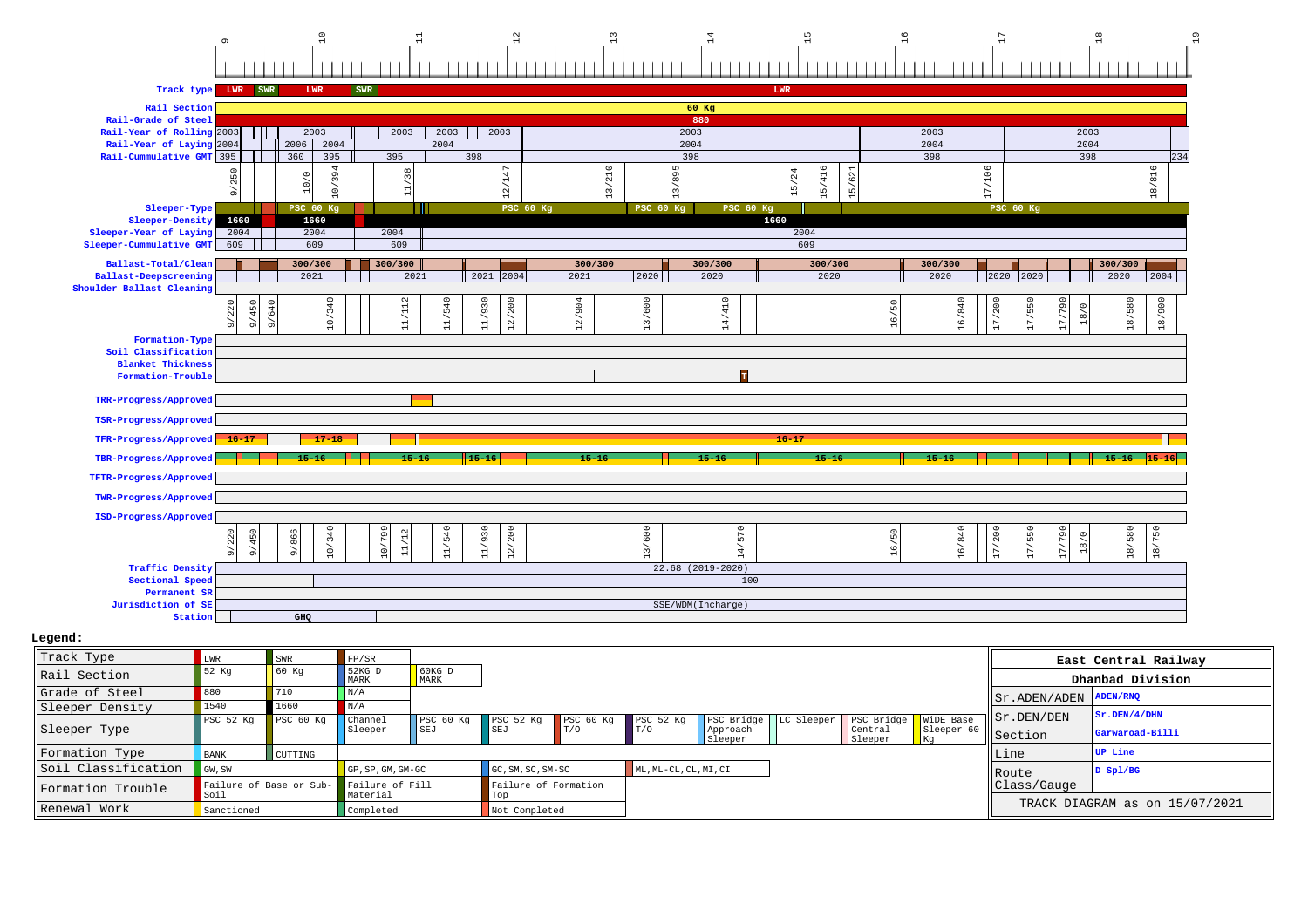# 9 10 11 12 13 14 15 16 17 18 19

| Track type LWR SWR                                 |                             |                | <b>LWR</b>                          | SWR |                                |        |                  |                  |                |                  |                     |                                           | LWR            |             |            |                |           |                 |                  |                         |           |              |
|----------------------------------------------------|-----------------------------|----------------|-------------------------------------|-----|--------------------------------|--------|------------------|------------------|----------------|------------------|---------------------|-------------------------------------------|----------------|-------------|------------|----------------|-----------|-----------------|------------------|-------------------------|-----------|--------------|
| Rail Section                                       |                             |                |                                     |     |                                |        |                  |                  |                |                  | 60 Kg               |                                           |                |             |            |                |           |                 |                  |                         |           |              |
| Rail-Grade of Steel                                |                             |                |                                     |     |                                |        |                  |                  |                |                  | 880                 |                                           |                |             |            |                |           |                 |                  |                         |           |              |
| Rail-Year of Rolling 2003                          |                             | - 11           | 2003                                |     | 2003                           | 2003   | 2003             |                  |                |                  | 2003                |                                           |                |             |            |                | 2003      |                 |                  | 2003                    |           |              |
| Rail-Year of Laying 2004                           |                             |                | 2006<br>2004                        |     |                                | 2004   |                  |                  |                |                  | 2004<br>398         |                                           |                |             |            |                | 2004      |                 |                  | 2004                    |           |              |
| Rail-Cummulative GMT 395                           |                             |                | 360<br>395                          |     | 395                            |        | 398              |                  |                |                  |                     |                                           |                |             |            |                | 398       |                 |                  | 398                     |           | 234          |
|                                                    | $\subset$<br>25<br>$\sigma$ |                | 394<br>$\circ$<br>ା<br>$\circ$      |     | 38<br>$\overline{\phantom{0}}$ |        | 12/147           |                  | 210<br>13      |                  | /895<br>13,         |                                           | $\sim$<br>- 60 | 15/416      | 621<br>15/ |                |           | 17/106          |                  |                         |           | 18/816       |
| Sleeper-Type                                       |                             |                | <b>PSC 60 Kg</b>                    |     |                                |        |                  | <b>PSC 60 Kg</b> |                | <b>PSC 60 Kg</b> |                     | <b>PSC 60 Kg</b>                          |                |             |            |                |           |                 | <b>PSC 60 Kg</b> |                         |           |              |
| Sleeper-Density                                    | 1660                        |                | 1660                                |     |                                |        |                  |                  |                |                  |                     |                                           | 1660           |             |            |                |           |                 |                  |                         |           |              |
| Sleeper-Year of Laying<br>Sleeper-Cummulative GMT  | 2004<br>609                 |                | 2004<br>609                         |     | 2004<br>609                    |        |                  |                  |                |                  |                     |                                           |                | 2004<br>609 |            |                |           |                 |                  |                         |           |              |
|                                                    |                             |                |                                     |     |                                |        |                  |                  |                |                  |                     |                                           |                |             |            |                |           |                 |                  |                         |           |              |
| Ballast-Total/Clean                                |                             |                | 300/300                             |     | 300/300                        |        |                  |                  | 300/300        |                  | 300/300             |                                           |                | 300/300     |            |                | 300/300   |                 |                  |                         | 300/300   |              |
| Ballast-Deepscreening<br>Shoulder Ballast Cleaning |                             |                | 2021                                |     | 2021                           |        | 2021<br>2004     |                  | 2021           | 2020             | 2020                |                                           |                | 2020        |            |                | 2020      | 2020            | 2020             |                         | 2020      | 2004         |
|                                                    |                             |                |                                     |     |                                |        |                  |                  |                |                  |                     |                                           |                |             |            |                |           |                 |                  |                         |           |              |
|                                                    | 9/220                       | 9/450<br>9/640 | 0/340                               |     | 11/112                         | 11/540 | /930<br>12/200   |                  | 2/904          | 13/600           |                     | 410<br>$\overline{\phantom{a}}$           |                |             |            | 50<br>े        | 16/840    | 7/200           | 17/550           | S<br>18/0               | 18/580    | 18/900       |
|                                                    |                             |                | $\overline{a}$                      |     |                                |        | 류                |                  | $\overline{ }$ |                  |                     | $\overline{a}$<br>$\overline{ }$          |                |             |            |                |           |                 |                  |                         |           |              |
| Formation-Type                                     |                             |                |                                     |     |                                |        |                  |                  |                |                  |                     |                                           |                |             |            |                |           |                 |                  |                         |           |              |
| Soil Classification                                |                             |                |                                     |     |                                |        |                  |                  |                |                  |                     |                                           |                |             |            |                |           |                 |                  |                         |           |              |
| <b>Blanket Thickness</b>                           |                             |                |                                     |     |                                |        |                  |                  |                |                  |                     |                                           |                |             |            |                |           |                 |                  |                         |           |              |
| Formation-Trouble                                  |                             |                |                                     |     |                                |        |                  |                  |                |                  |                     | <b>TP</b>                                 |                |             |            |                |           |                 |                  |                         |           |              |
| TRR-Progress/Approved                              |                             |                |                                     |     |                                |        |                  |                  |                |                  |                     |                                           |                |             |            |                |           |                 |                  |                         |           |              |
| TSR-Progress/Approved                              |                             |                |                                     |     |                                |        |                  |                  |                |                  |                     |                                           |                |             |            |                |           |                 |                  |                         |           |              |
| TFR-Progress/Approved                              | $16 - 17$                   |                | $17 - 18$                           |     |                                |        |                  |                  |                |                  |                     |                                           | $16 - 17$      |             |            |                |           |                 |                  |                         |           |              |
| TBR-Progress/Approved                              |                             |                | $15 - 16$                           |     | $15 - 16$                      |        | $15 - 16$        |                  | $15 - 16$      |                  | $15 - 16$           |                                           |                | $15 - 16$   |            |                | $15 - 16$ |                 |                  |                         | $15 - 16$ | $15 - 1$     |
| TFTR-Progress/Approved                             |                             |                |                                     |     |                                |        |                  |                  |                |                  |                     |                                           |                |             |            |                |           |                 |                  |                         |           |              |
| <b>TWR-Progress/Approved</b>                       |                             |                |                                     |     |                                |        |                  |                  |                |                  |                     |                                           |                |             |            |                |           |                 |                  |                         |           |              |
| ISD-Progress/Approved                              |                             |                |                                     |     |                                |        |                  |                  |                |                  |                     |                                           |                |             |            |                |           |                 |                  |                         |           |              |
|                                                    | 220                         | 450            | /340<br>866                         |     | 10/799                         | 11/540 | 11/930<br>12/200 |                  |                | 13/600           |                     | 570                                       |                |             |            | $\overline{5}$ | 16/840    | /200            | 17/550           | $\subset$<br>29<br>18/0 | 18/580    | $\circ$<br>K |
|                                                    | $\sigma$                    | $\frac{5}{2}$  | $\frac{1}{\alpha}$<br>$\frac{1}{2}$ |     |                                |        |                  |                  |                |                  |                     | $\overline{\phantom{a}}$<br>$\frac{4}{1}$ |                |             |            | $\alpha$       |           | $\overline{17}$ |                  | Þ                       |           | 18/          |
| <b>Traffic Density</b>                             |                             |                |                                     |     |                                |        |                  |                  |                |                  | $22.68$ (2019-2020) |                                           |                |             |            |                |           |                 |                  |                         |           |              |
| Sectional Speed                                    |                             |                |                                     |     |                                |        |                  |                  |                |                  |                     | 100                                       |                |             |            |                |           |                 |                  |                         |           |              |
| Permanent SR<br>Jurisdiction of SE                 |                             |                |                                     |     |                                |        |                  |                  |                |                  |                     |                                           |                |             |            |                |           |                 |                  |                         |           |              |
| Station                                            |                             |                | GHQ                                 |     |                                |        |                  |                  |                |                  | SSE/WDM(Incharge)   |                                           |                |             |            |                |           |                 |                  |                         |           |              |
|                                                    |                             |                |                                     |     |                                |        |                  |                  |                |                  |                     |                                           |                |             |            |                |           |                 |                  |                         |           |              |

| Track Type          | LWR                             | SWR       | FP/SR                       |                         |                             |                      |                       |                         |                        |                      |                                 | East Central Railway           |
|---------------------|---------------------------------|-----------|-----------------------------|-------------------------|-----------------------------|----------------------|-----------------------|-------------------------|------------------------|----------------------|---------------------------------|--------------------------------|
| lRail Section       | 52 Kg                           | 60 Kq     | 52KG D<br>MARK              | $60KG$ D<br><b>MARK</b> |                             |                      |                       |                         |                        |                      |                                 | Dhanbad Division               |
| Grade of Steel      | 880                             | 710       | $\vert N/A \vert$           |                         |                             |                      |                       |                         |                        |                      | $  $ Sr. ADEN/ADEN $ $ ADEN/RNQ |                                |
| Sleeper Density     | 1540                            | 1660      | N/A                         |                         |                             |                      |                       |                         |                        |                      |                                 | Sr.DEN/4/DHN                   |
|                     | PSC 52 Kg                       | PSC 60 Kq | <b>Channel</b>              | PSC 60 Kg               | PSC <sub>52</sub> Kq        | PSC <sub>60 Kq</sub> | PSC <sub>52 Kq</sub>  | PSC Bridge   LC Sleeper | PSC Bridge   WiDE Base |                      | Sr.DEN/DEN                      |                                |
| Sleeper Type        |                                 |           | Sleeper                     | SEJ                     | <b>SEJ</b>                  | T/O                  | $\Gamma$ T / O        | Approach<br>Sleeper     | Central<br>Sleeper     | Sleeper 60<br>$ $ Kg | Section                         | Garwaroad-Billi                |
| Formation Type      | <b>BANK</b>                     | CUTTING   |                             |                         |                             |                      |                       |                         |                        |                      | Line                            | <b>UP</b> Line                 |
| Soil Classification | GW, SW                          |           | GP, SP, GM, GM-GC           |                         | GC, SM, SC, SM-SC           |                      | ML, ML-CL, CL, MI, CI |                         |                        |                      | <b>IRoute</b>                   | $D$ Spl/BG                     |
| Formation Trouble   | Failure of Base or Sub-<br>Soil |           | Failure of Fill<br>Material |                         | Failure of Formation<br>Тор |                      |                       |                         |                        |                      | Class/Gauge                     |                                |
| Renewal Work        | Sanctioned                      |           | Completed                   |                         | Not Completed               |                      |                       |                         |                        |                      |                                 | TRACK DIAGRAM as on 15/07/2021 |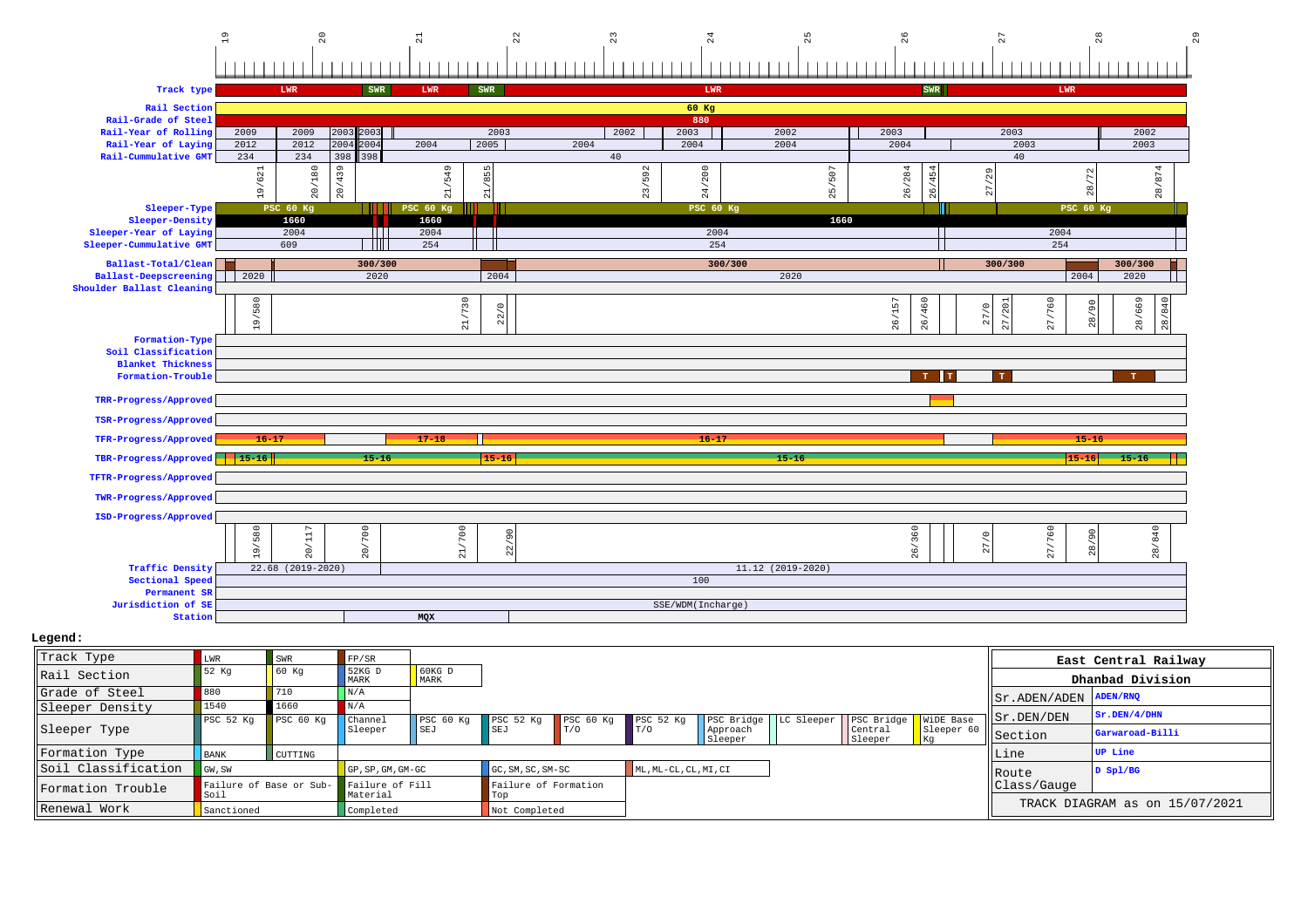

| Track Type          | LWR                  | <b>SWR</b>                              | FP/SR                    |                            |                             |                    |                       |                     |            |                        |                      |                       | East Central Railway           |
|---------------------|----------------------|-----------------------------------------|--------------------------|----------------------------|-----------------------------|--------------------|-----------------------|---------------------|------------|------------------------|----------------------|-----------------------|--------------------------------|
| Rail Section        | 52 Kg                | 60 K <sub>G</sub>                       | $\bigcup$ 52KG D<br>MARK | 60 <sub>KG</sub> D<br>MARK |                             |                    |                       |                     |            |                        |                      |                       | Dhanbad Division               |
| Grade of Steel      | 880                  | 710                                     | $\vert N/A \vert$        |                            |                             |                    |                       |                     |            |                        |                      | Sr.ADEN/ADEN ADEN/RNQ |                                |
| Sleeper Density     | 1540                 | 1660                                    | N/A                      |                            |                             |                    |                       |                     |            |                        |                      |                       | Sr.DEN/4/DHN                   |
|                     | PSC <sub>52</sub> Kq | PSC <sub>60 Kq</sub>                    | Channel                  | PSC 60 Kg                  | PSC <sub>52</sub> Kq        | $PSC$ 60 Kg        | PSC <sub>52 Kq</sub>  | PSC Bridge          | LC Sleeper | PSC Bridge   WiDE Base |                      | $  $ Sr. DEN/DEN      |                                |
| Sleeper Type        |                      |                                         | Sleeper                  | SEJ                        | SET                         | $\blacksquare$ T/O | $\Gamma$ T / O        | Approach<br>Sleeper |            | Central<br>Sleeper     | Sleeper 60<br>$ $ Kg | Section               | Garwaroad-Billi                |
| Formation Type      | <b>BANK</b>          | CUTTING                                 |                          |                            |                             |                    |                       |                     |            |                        |                      | Line                  | <b>UP</b> Line                 |
| Soil Classification | GW, SW               |                                         | GP, SP, GM, GM-GC        |                            | $GC, SM, SC, SM-SC$         |                    | ML, ML-CL, CL, MI, CI |                     |            |                        |                      | <b>IRoute</b>         | $D$ Spl/BG                     |
| Formation Trouble   | Soil                 | Failure of Base or Sub- Failure of Fill | Material                 |                            | Failure of Formation<br>Top |                    |                       |                     |            |                        |                      | Class/Gauge           |                                |
| Renewal Work        | Sanctioned           |                                         | Completed                |                            | Not Completed               |                    |                       |                     |            |                        |                      |                       | TRACK DIAGRAM as on 15/07/2021 |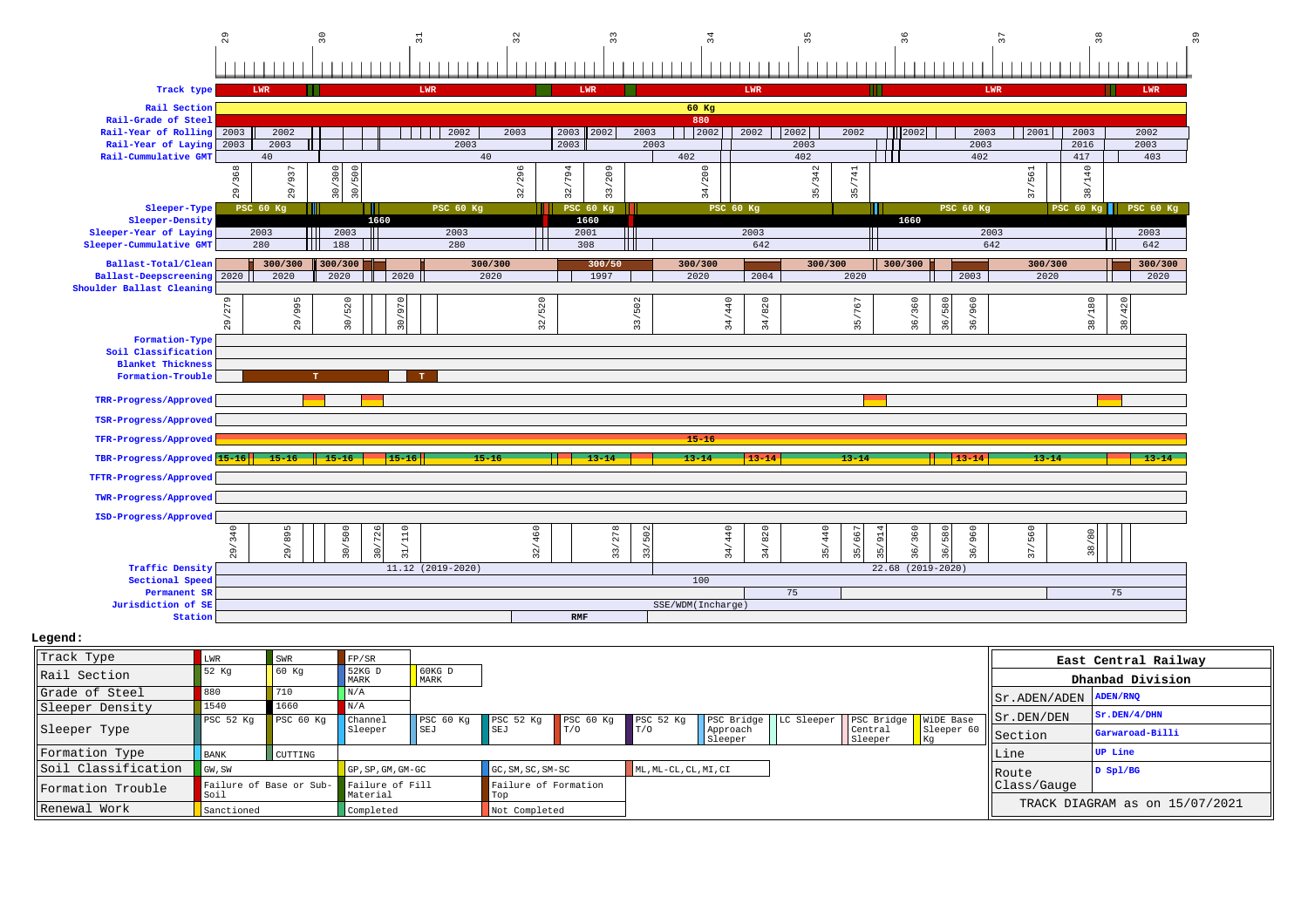

| Track Type          | LWR                             | SWR       | FP/SR                            |                      |                             |           |                       |                     |                                     |                    |               | East Central Railway           |
|---------------------|---------------------------------|-----------|----------------------------------|----------------------|-----------------------------|-----------|-----------------------|---------------------|-------------------------------------|--------------------|---------------|--------------------------------|
| Rail Section        | 52 Kq                           | 60 Kg     | 52KG D<br>MARK                   | $60KG$ D<br>MARK     |                             |           |                       |                     |                                     |                    |               | Dhanbad Division               |
| Grade of Steel      | 880                             | 710       | N/A                              |                      |                             |           |                       |                     |                                     |                    | Sr.ADEN/ADEN  | <b>ADEN/RNQ</b>                |
| Sleeper Density     | 1540                            | 1660      |                                  |                      |                             |           |                       |                     |                                     |                    |               | sr.DEN/4/DHN                   |
|                     | PSC 52 Kg                       | PSC 60 Kg | $\vert$ Channel                  | PSC <sub>60 Kq</sub> | PSC 52 Kg                   | PSC 60 Kg | PSC <sub>52</sub> Kq  | PSC Bridge          | LC Sleeper   PSC Bridge   WiDE Base |                    | Sr.DEN/DEN    |                                |
| Sleeper Type        |                                 |           | Sleeper                          | <b>SEJ</b>           | SEJ                         | T/0       | T/O                   | Approach<br>Sleeper | Central<br>Sleeper                  | Sleeper 60<br>l Kq | Section       | Garwaroad-Billi                |
| Formation Type      | <b>BANK</b>                     | CUTTING   |                                  |                      |                             |           |                       |                     |                                     |                    | Line          | <b>UP</b> Line                 |
| Soil Classification | GW, SW                          |           | $GP$ , $SP$ , $GM$ , $GM$ - $GC$ |                      | GC, SM, SC, SM-SC           |           | ML, ML-CL, CL, MI, CI |                     |                                     |                    | <b>IRoute</b> | D Sp1/BG                       |
| Formation Trouble   | Failure of Base or Sub-<br>Soil |           | Failure of Fill<br>Material      |                      | Failure of Formation<br>Top |           |                       |                     |                                     |                    | Class/Gauge   |                                |
| Renewal Work        | Sanctioned                      |           | Completed                        |                      | Not Completed               |           |                       |                     |                                     |                    |               | TRACK DIAGRAM as on 15/07/2021 |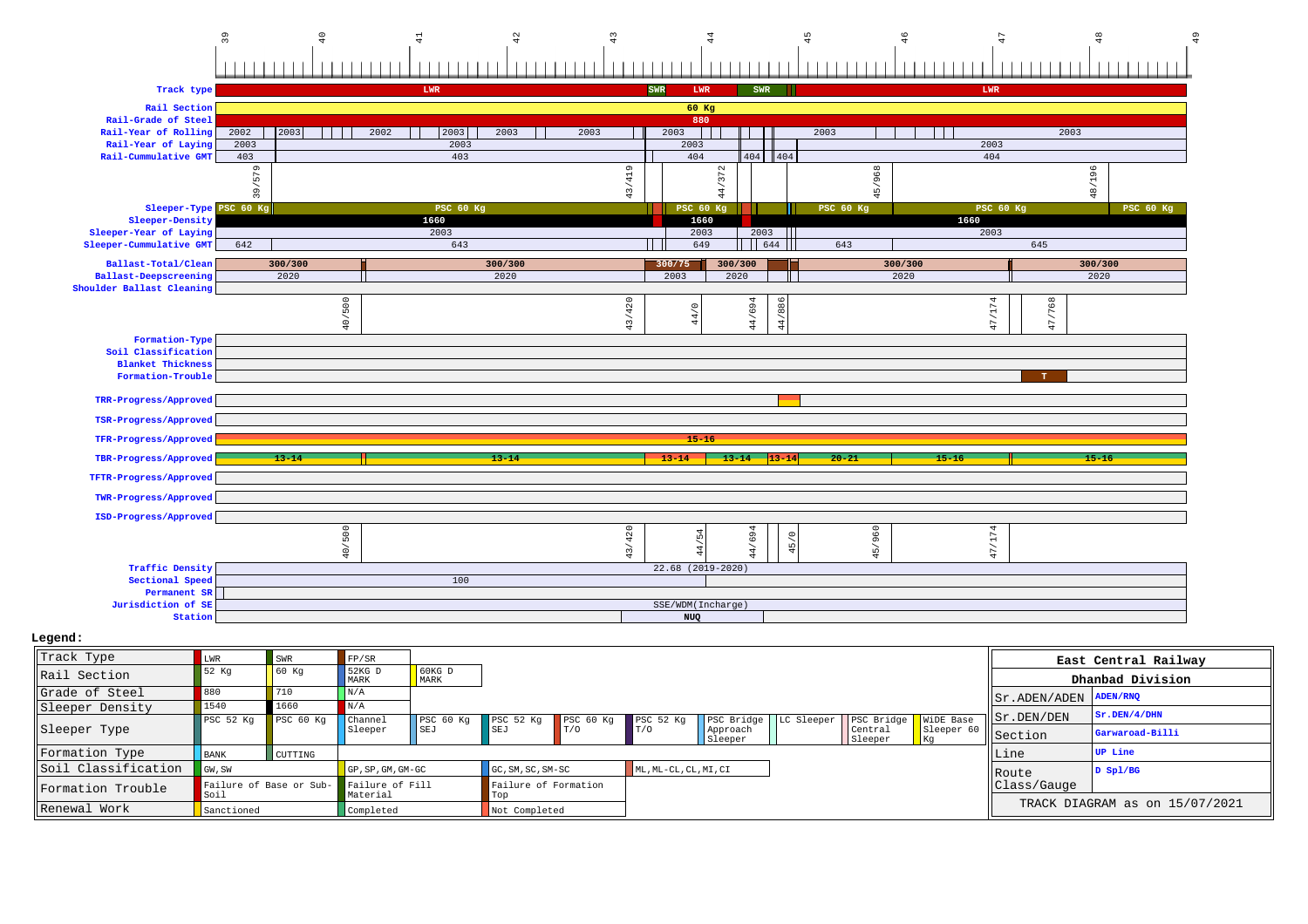

| Track Type          | LWR                             | SWR       | FP/SR                       |                  |                               |                |                       |                     |                         |                    |                  |                                  | East Central Railway           |
|---------------------|---------------------------------|-----------|-----------------------------|------------------|-------------------------------|----------------|-----------------------|---------------------|-------------------------|--------------------|------------------|----------------------------------|--------------------------------|
| Rail Section        | 52 Kq                           | 60 Kq     | $52KG$ D<br>MARK            | $60KG$ D<br>MARK |                               |                |                       |                     |                         |                    |                  |                                  | Dhanbad Division               |
| lGrade of Steel     | 880                             | 710       | N/A                         |                  |                               |                |                       |                     |                         |                    |                  | $  $ Sr. ADEN/ADEN $  $ ADEN/RNQ |                                |
| Sleeper Density     | 1540                            | 1660      | N/A                         |                  |                               |                |                       |                     |                         |                    |                  |                                  | Sr.DEN/4/DHN                   |
|                     | PSC <sub>52 Kq</sub>            | PSC 60 Kg | Channel                     | PSC 60 Kg        | PSC 52 Kg PSC 60 Kg           |                | PSC 52 Kq             | PSC Bridge          | LC Sleeper   PSC Bridge |                    | WiDE Base        | Sr.DEN/DEN                       |                                |
| Sleeper Type        |                                 |           | Sleeper                     | SEJ              | <b>SEJ</b>                    | $\blacksquare$ | T/0                   | Approach<br>Sleeper |                         | Central<br>Sleeper | Sleeper 60<br>Kq | Section                          | Garwaroad-Billi                |
| Formation Type      | <b>BANK</b>                     | CUTTING   |                             |                  |                               |                |                       |                     |                         |                    |                  | Line                             | UP Line                        |
| Soil Classification | GW, SW                          |           | GP, SP, GM, GM-GC           |                  | GC, SM, SC, SM-SC             |                | ML, ML-CL, CL, MI, CI |                     |                         |                    |                  | Route                            | $D$ Spl/BG                     |
| Formation Trouble   | Failure of Base or Sub-<br>Soil |           | Failure of Fill<br>Material |                  | Failure of Formation<br>  Tob |                |                       |                     |                         |                    |                  | Class/Gauge                      |                                |
| Renewal Work        | Sanctioned                      |           | Completed                   |                  | Not Completed                 |                |                       |                     |                         |                    |                  |                                  | TRACK DIAGRAM as on 15/07/2021 |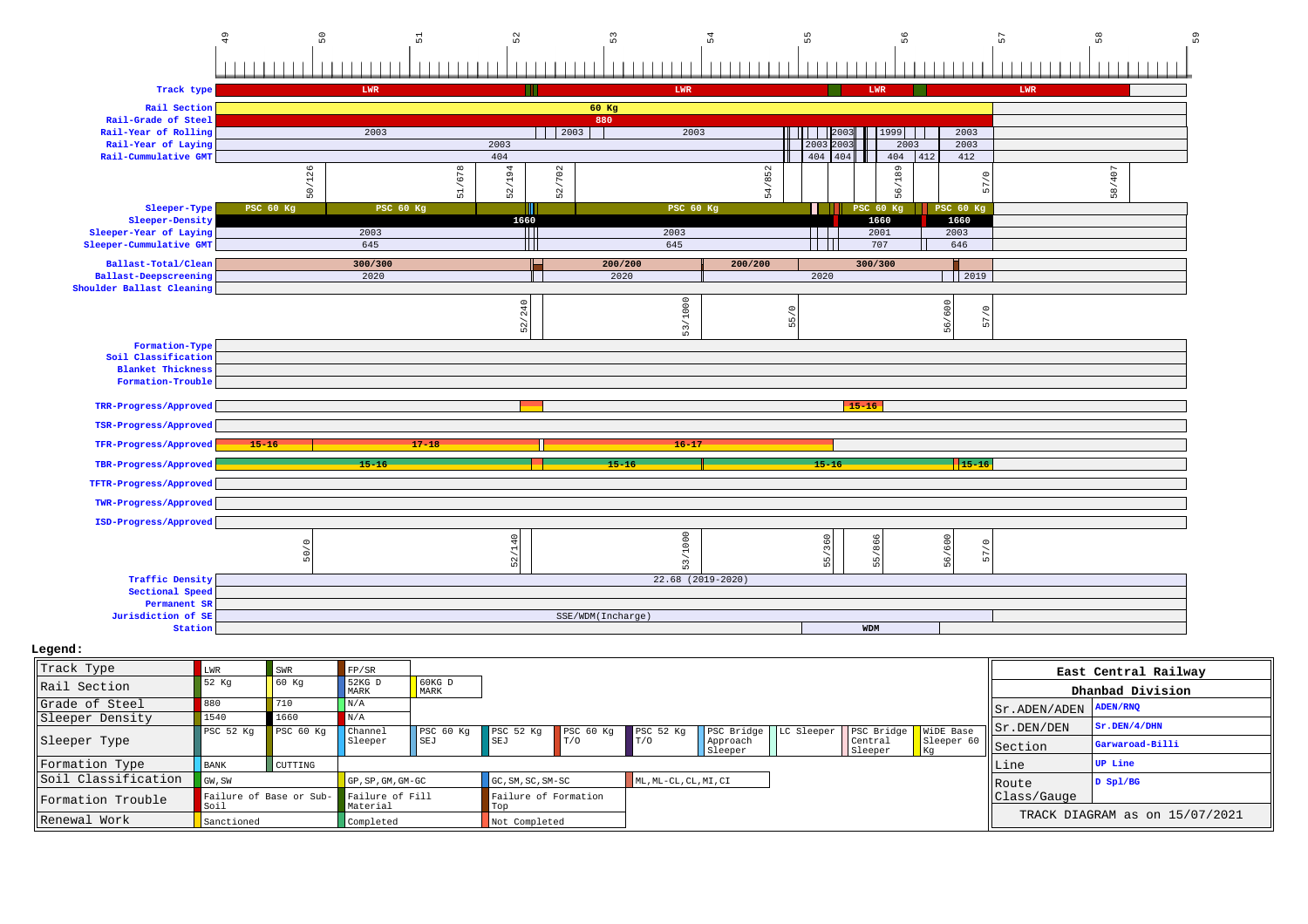

| Track Type          | LWR                             | SWR                  | FP/SR                       |                  |                               |                      |                       |                     |                                     |                  |                                 | East Central Railway           |
|---------------------|---------------------------------|----------------------|-----------------------------|------------------|-------------------------------|----------------------|-----------------------|---------------------|-------------------------------------|------------------|---------------------------------|--------------------------------|
| Rail Section        | 52 Kq                           | 60 Kq                | 52KG D<br>MARK              | $60KG$ D<br>MARK |                               |                      |                       |                     |                                     |                  |                                 | Dhanbad Division               |
| Grade of Steel      | 880                             | 1710                 | N/A                         |                  |                               |                      |                       |                     |                                     |                  | $  $ Sr. ADEN/ADEN $ $ ADEN/RNQ |                                |
| Sleeper Density     | 1540                            | 1660                 |                             |                  |                               |                      |                       |                     |                                     |                  |                                 | Sr.DEN/4/DHN                   |
|                     | PSC <sub>52</sub> Kq            | PSC <sub>60 Kq</sub> | Channel                     | PSC 60 Kq        | PSC <sub>52</sub> Kg          | PSC <sub>60 Kq</sub> | PSC 52 Kg             | PSC Bridge          | LC Sleeper   PSC Bridge   WiDE Base |                  | Sr.DEN/DEN                      |                                |
| Sleeper Type        |                                 |                      | Sleeper                     | <b>SEJ</b>       | <b>ISEJ</b>                   | $\blacksquare$       | T/0                   | Approach<br>Sleeper | Central<br>Sleeper                  | Sleeper 60<br>Kq | Section                         | Garwaroad-Billi                |
| Formation Type      | <b>BANK</b>                     | CUTTING              |                             |                  |                               |                      |                       |                     |                                     |                  | Line                            | <b>UP</b> Line                 |
| Soil Classification | GW, SW                          |                      | GP, SP, GM, GM-GC           |                  | GC, SM, SC, SM-SC             |                      | ML, ML-CL, CL, MI, CI |                     |                                     |                  | Route                           | $D$ Spl/BG                     |
| Formation Trouble   | Failure of Base or Sub-<br>Soil |                      | Failure of Fill<br>Material |                  | Failure of Formation<br>  Tob |                      |                       |                     |                                     |                  | Class/Gauge                     |                                |
| Renewal Work        | Sanctioned                      |                      | Completed                   |                  | Not Completed                 |                      |                       |                     |                                     |                  |                                 | TRACK DIAGRAM as on 15/07/2021 |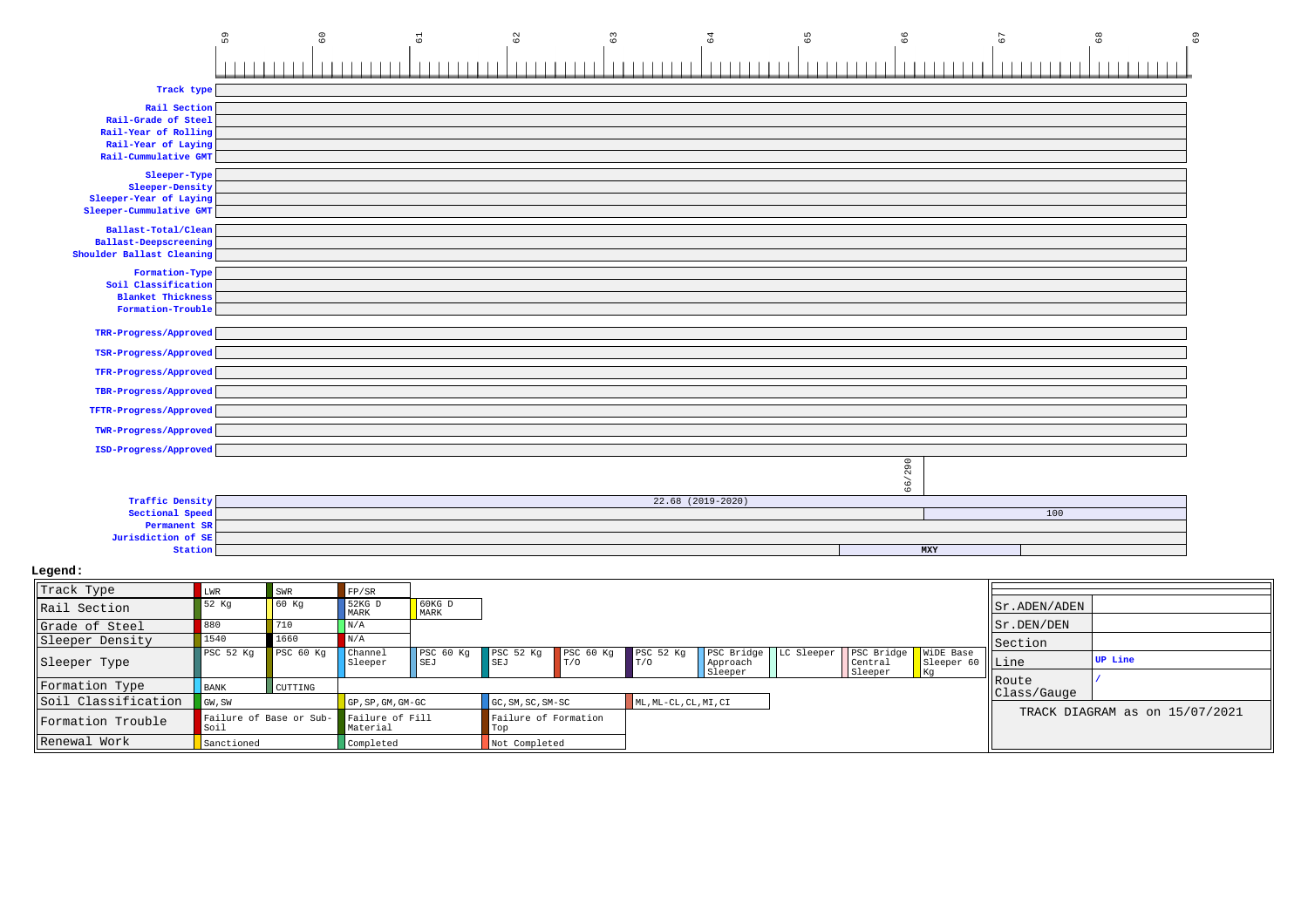|                                     | 59<br>$\rm ^{\circ}$ | 62<br>$\overline{6}$ | $\mathbb{S}^3$ | 64                  | 99<br>59 | $\overline{6}$ | $\frac{8}{6}$<br>69 |
|-------------------------------------|----------------------|----------------------|----------------|---------------------|----------|----------------|---------------------|
| Track type                          |                      |                      |                |                     |          |                |                     |
|                                     |                      |                      |                |                     |          |                |                     |
| Rail Section<br>Rail-Grade of Steel |                      |                      |                |                     |          |                |                     |
| Rail-Year of Rolling                |                      |                      |                |                     |          |                |                     |
| Rail-Year of Laying                 |                      |                      |                |                     |          |                |                     |
| Rail-Cummulative GMT                |                      |                      |                |                     |          |                |                     |
| Sleeper-Type                        |                      |                      |                |                     |          |                |                     |
| Sleeper-Density                     |                      |                      |                |                     |          |                |                     |
| Sleeper-Year of Laying              |                      |                      |                |                     |          |                |                     |
| Sleeper-Cummulative GMT             |                      |                      |                |                     |          |                |                     |
| Ballast-Total/Clean                 |                      |                      |                |                     |          |                |                     |
| <b>Ballast-Deepscreening</b>        |                      |                      |                |                     |          |                |                     |
| Shoulder Ballast Cleaning           |                      |                      |                |                     |          |                |                     |
| Formation-Type                      |                      |                      |                |                     |          |                |                     |
| Soil Classification                 |                      |                      |                |                     |          |                |                     |
| <b>Blanket Thickness</b>            |                      |                      |                |                     |          |                |                     |
| Formation-Trouble                   |                      |                      |                |                     |          |                |                     |
| TRR-Progress/Approved               |                      |                      |                |                     |          |                |                     |
| TSR-Progress/Approved               |                      |                      |                |                     |          |                |                     |
| TFR-Progress/Approved               |                      |                      |                |                     |          |                |                     |
|                                     |                      |                      |                |                     |          |                |                     |
| TBR-Progress/Approved               |                      |                      |                |                     |          |                |                     |
| TFTR-Progress/Approved              |                      |                      |                |                     |          |                |                     |
| TWR-Progress/Approved               |                      |                      |                |                     |          |                |                     |
| ISD-Progress/Approved               |                      |                      |                |                     |          |                |                     |
|                                     |                      |                      |                |                     |          |                |                     |
|                                     |                      |                      |                |                     | 66/290   |                |                     |
| <b>Traffic Density</b>              |                      |                      |                | $22.68$ (2019-2020) |          |                |                     |
| Sectional Speed                     |                      |                      |                |                     |          |                | 100                 |
| Permanent SR                        |                      |                      |                |                     |          |                |                     |
| Jurisdiction of SE                  |                      |                      |                |                     |          |                |                     |
| Station                             |                      |                      |                |                     |          | MXY            |                     |

| Track Type          | LWR                             | SWR       | FP/SR                       |                  |                             |     |                             |                     |                                                                        |                   |               |                                |
|---------------------|---------------------------------|-----------|-----------------------------|------------------|-----------------------------|-----|-----------------------------|---------------------|------------------------------------------------------------------------|-------------------|---------------|--------------------------------|
| Rail Section        | 52 Kq                           | 60 Kq     | 52KG D<br>MARK              | $60KG$ D<br>MARK |                             |     |                             |                     |                                                                        |                   | Sr.ADEN/ADEN  |                                |
| Grade of Steel      | 880                             | 710       | N/A                         |                  |                             |     |                             |                     |                                                                        |                   | Sr.DEN/DEN    |                                |
| Sleeper Density     | 1540                            | 1660      | N/A                         |                  |                             |     |                             |                     |                                                                        |                   | Section       |                                |
| Sleeper Type        | PSC <sub>52</sub> Kq            | PSC 60 Kg | <b>Channel</b><br>Sleeper   | PSC 60 Kg<br>SEJ | PSC 52 Kg PSC 60 Kg<br>SEJ  | T/O | PSC <sub>52 Kq</sub><br>T/0 | Approach<br>Sleeper | PSC Bridge   LC Sleeper   PSC Bridge   WiDE Base<br>Central<br>Sleeper | Sleeper 60   Line |               | <b>UP</b> Line                 |
| Formation Type      | <b>BANK</b>                     | CUTTING   |                             |                  |                             |     |                             |                     |                                                                        |                   | <b>IRoute</b> |                                |
| Soil Classification | GW, SW                          |           | GP, SP, GM, GM-GC           |                  | GC, SM, SC, SM-SC           |     | ML, ML-CL, CL, MI, CI       |                     |                                                                        |                   | Class/Gauge   |                                |
| Formation Trouble   | Failure of Base or Sub-<br>Soil |           | Failure of Fill<br>Material |                  | Failure of Formation<br>Top |     |                             |                     |                                                                        |                   |               | TRACK DIAGRAM as on 15/07/2021 |
| Renewal Work        | Sanctioned                      |           | Completed                   |                  | Not Completed               |     |                             |                     |                                                                        |                   |               |                                |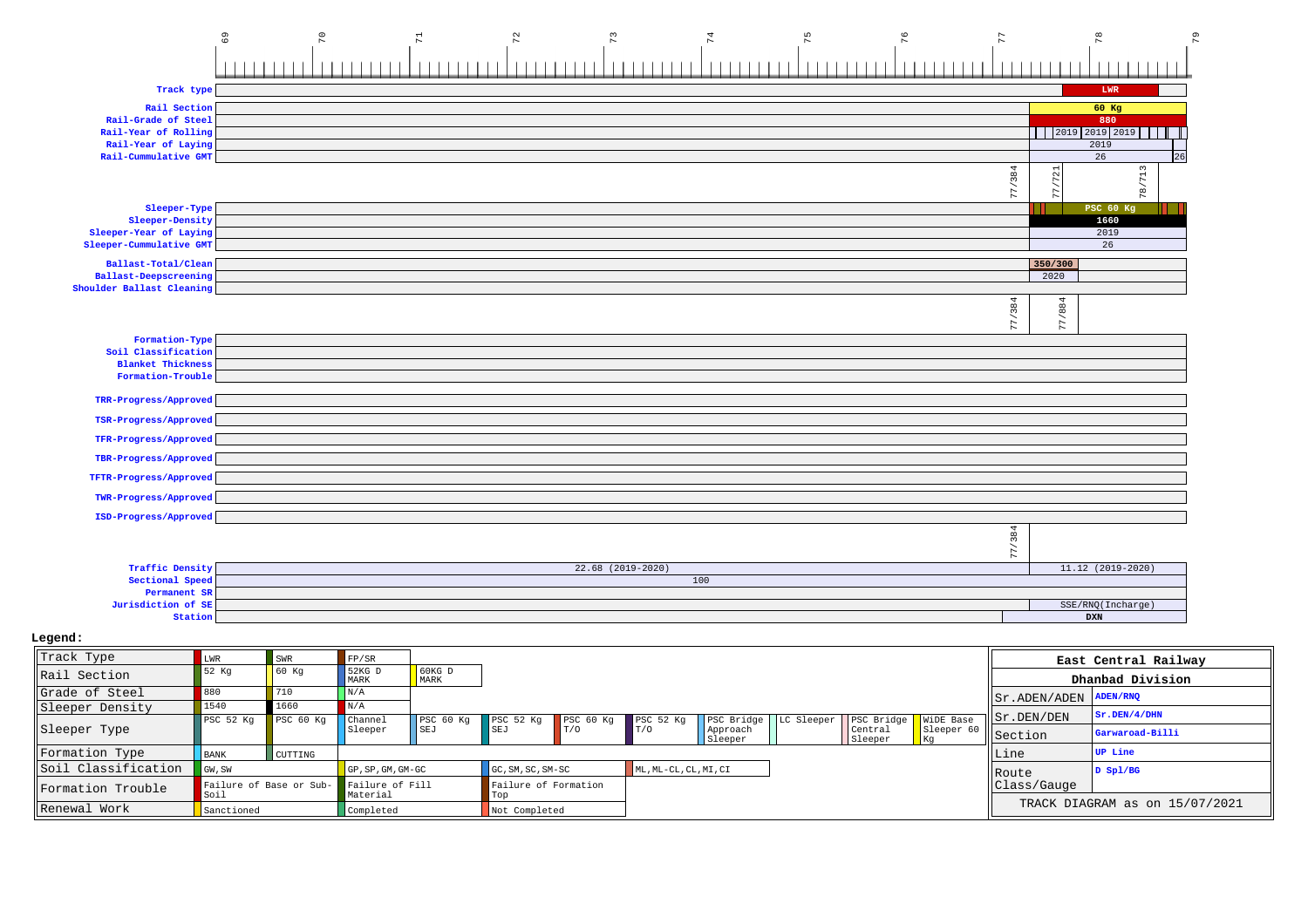|                                                           | $_{69}$     | $\overline{70}$ |                    | $\mathbb{Z}$     | 72               | 73                  |                   | $74$                              | 75         | $76$                             |                               | 77                            | ğ                                |                      | 79 |
|-----------------------------------------------------------|-------------|-----------------|--------------------|------------------|------------------|---------------------|-------------------|-----------------------------------|------------|----------------------------------|-------------------------------|-------------------------------|----------------------------------|----------------------|----|
|                                                           |             |                 |                    |                  |                  |                     |                   |                                   |            |                                  |                               |                               |                                  |                      |    |
| Track type                                                |             |                 |                    |                  |                  |                     |                   |                                   |            |                                  |                               |                               | ${\tt LWR}$                      |                      |    |
| Rail Section                                              |             |                 |                    |                  |                  |                     |                   |                                   |            |                                  |                               |                               | $60$ Kg                          |                      |    |
| Rail-Grade of Steel                                       |             |                 |                    |                  |                  |                     |                   |                                   |            |                                  |                               |                               | 880                              |                      |    |
| Rail-Year of Rolling                                      |             |                 |                    |                  |                  |                     |                   |                                   |            |                                  |                               |                               |                                  | 2019 2019 2019       |    |
| Rail-Year of Laying<br>Rail-Cummulative GMT               |             |                 |                    |                  |                  |                     |                   |                                   |            |                                  |                               |                               | 2019<br>26                       | 26                   |    |
|                                                           |             |                 |                    |                  |                  |                     |                   |                                   |            |                                  |                               |                               |                                  |                      |    |
|                                                           |             |                 |                    |                  |                  |                     |                   |                                   |            |                                  |                               | 77/384                        |                                  | 78/713               |    |
| Sleeper-Type                                              |             |                 |                    |                  |                  |                     |                   |                                   |            |                                  |                               |                               | PSC 60 Kg                        |                      |    |
| Sleeper-Density                                           |             |                 |                    |                  |                  |                     |                   |                                   |            |                                  |                               |                               | 1660                             |                      |    |
| Sleeper-Year of Laying<br>Sleeper-Cummulative GMT         |             |                 |                    |                  |                  |                     |                   |                                   |            |                                  |                               |                               | 2019<br>26                       |                      |    |
|                                                           |             |                 |                    |                  |                  |                     |                   |                                   |            |                                  |                               |                               |                                  |                      |    |
| Ballast-Total/Clean                                       |             |                 |                    |                  |                  |                     |                   |                                   |            |                                  |                               |                               | 350/300                          |                      |    |
| <b>Ballast-Deepscreening</b><br>Shoulder Ballast Cleaning |             |                 |                    |                  |                  |                     |                   |                                   |            |                                  |                               |                               | 2020                             |                      |    |
|                                                           |             |                 |                    |                  |                  |                     |                   |                                   |            |                                  |                               | 77/384                        | 77/884                           |                      |    |
| Formation-Type                                            |             |                 |                    |                  |                  |                     |                   |                                   |            |                                  |                               |                               |                                  |                      |    |
| Soil Classification                                       |             |                 |                    |                  |                  |                     |                   |                                   |            |                                  |                               |                               |                                  |                      |    |
| <b>Blanket Thickness</b>                                  |             |                 |                    |                  |                  |                     |                   |                                   |            |                                  |                               |                               |                                  |                      |    |
| Formation-Trouble                                         |             |                 |                    |                  |                  |                     |                   |                                   |            |                                  |                               |                               |                                  |                      |    |
| TRR-Progress/Approved                                     |             |                 |                    |                  |                  |                     |                   |                                   |            |                                  |                               |                               |                                  |                      |    |
| TSR-Progress/Approved                                     |             |                 |                    |                  |                  |                     |                   |                                   |            |                                  |                               |                               |                                  |                      |    |
| TFR-Progress/Approved                                     |             |                 |                    |                  |                  |                     |                   |                                   |            |                                  |                               |                               |                                  |                      |    |
| TBR-Progress/Approved<br>TFTR-Progress/Approved           |             |                 |                    |                  |                  |                     |                   |                                   |            |                                  |                               |                               |                                  |                      |    |
| TWR-Progress/Approved                                     |             |                 |                    |                  |                  |                     |                   |                                   |            |                                  |                               |                               |                                  |                      |    |
| ISD-Progress/Approved                                     |             |                 |                    |                  |                  |                     |                   |                                   |            |                                  |                               |                               |                                  |                      |    |
|                                                           |             |                 |                    |                  |                  |                     |                   |                                   |            |                                  |                               | 77/384                        |                                  |                      |    |
| <b>Traffic Density</b>                                    |             |                 |                    |                  |                  | $22.68$ (2019-2020) |                   |                                   |            |                                  |                               |                               | $11.12$ (2019-2020)              |                      |    |
| Sectional Speed                                           |             |                 |                    |                  |                  |                     | 100               |                                   |            |                                  |                               |                               |                                  |                      |    |
| Permanent SR                                              |             |                 |                    |                  |                  |                     |                   |                                   |            |                                  |                               |                               |                                  |                      |    |
| Jurisdiction of SE                                        |             |                 |                    |                  |                  |                     |                   |                                   |            |                                  |                               |                               | SSE/RNQ(Incharge)                |                      |    |
| Station                                                   |             |                 |                    |                  |                  |                     |                   |                                   |            |                                  |                               |                               | $\mathbf{D}\mathbf{X}\mathbf{N}$ |                      |    |
| Legend:                                                   |             |                 |                    |                  |                  |                     |                   |                                   |            |                                  |                               |                               |                                  |                      |    |
| Track Type                                                | LWR         | SWR             | FP/SR              |                  |                  |                     |                   |                                   |            |                                  |                               |                               |                                  |                      |    |
|                                                           | 52 Kg       | 60 Kg           | 52KG D             | 60KG D           |                  |                     |                   |                                   |            |                                  |                               |                               |                                  | East Central Railway |    |
| Rail Section                                              |             |                 | MARK               | MARK             |                  |                     |                   |                                   |            |                                  |                               |                               |                                  | Dhanbad Division     |    |
| Grade of Steel                                            | 880         | 710             | N/A                |                  |                  |                     |                   |                                   |            |                                  |                               | Sr.ADEN/ADEN                  |                                  | <b>ADEN/RNQ</b>      |    |
| Sleeper Density                                           | 1540        | 1660            | $\rm N/A$          |                  |                  |                     |                   |                                   |            |                                  |                               | Sr.DEN/DEN                    |                                  | Sr.DEN/4/DHN         |    |
| Sleeper Type                                              | PSC 52 Kg   | $PSC$ 60 $Kg$   | Channel<br>Sleeper | PSC 60 Kg<br>SEJ | PSC 52 Kg<br>SEJ | PSC 60 Kg<br>T/0    | PSC 52 Kg<br>T/0  | PSC Bridge<br>Approach<br>Sleeper | LC Sleeper | PSC Bridge<br>Central<br>Sleeper | WiDE Base<br>Sleeper 60<br>Кg | Section                       |                                  | Garwaroad-Billi      |    |
| Formation Type                                            | <b>BANK</b> | CUTTING         |                    |                  |                  |                     |                   |                                   |            |                                  |                               | Line                          |                                  | <b>UP Line</b>       |    |
| Soil Classification                                       | GW.SW       |                 | GP.SP.GM.GM-GC     |                  | GC.SM.SC.SM-SC   |                     | ML.ML-CL.CL.MT.CT |                                   |            |                                  |                               | $D \rightarrow + \rightarrow$ |                                  | $D$ Spl/RG           |    |

Route Class/Gauge

TRACK DIAGRAM as on 15/07/2021

**D Spl/BG**

GP, SP, GM, GM-GC GC, SM, SC, SM-SC ML, ML-CL, CL, MI, CI<br>
Failure of Formation<br>
Material Top

Not Completed

Failure of Base or Sub-<br>
Failure of Formation<br>
Sanctioned<br>
Sanctioned<br>
Completed<br>
Not Completed<br>
Not Completed

Failure of Base or Sub- Soil

Formation Trouble

Renewal Work